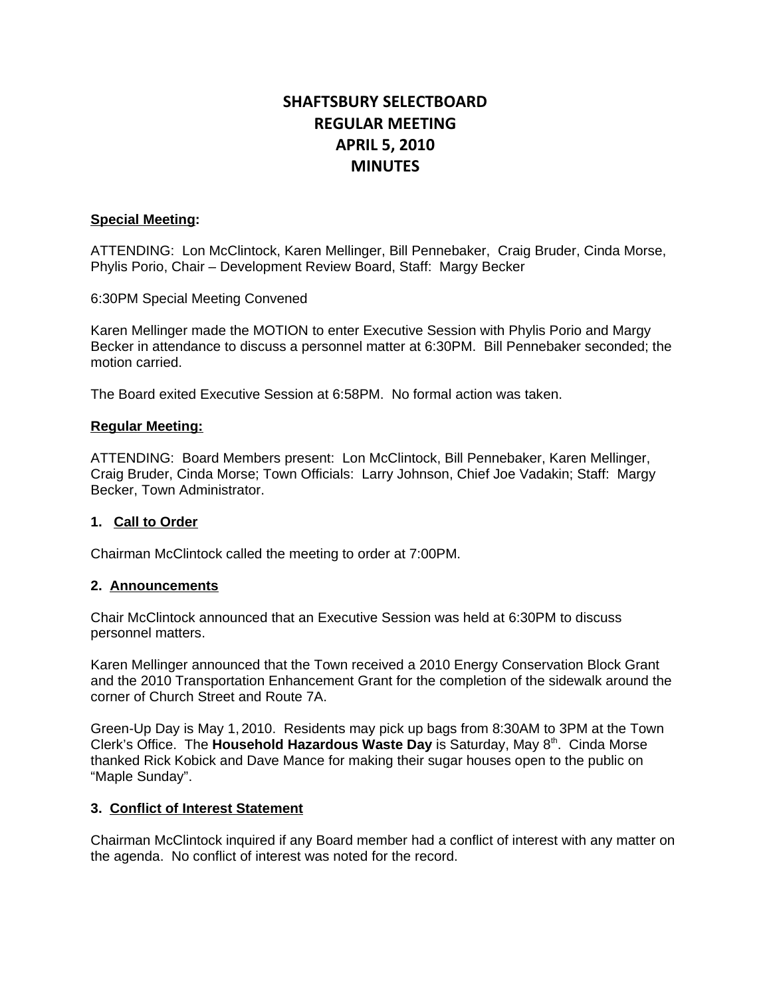# **SHAFTSBURY SELECTBOARD REGULAR MEETING APRIL 5, 2010 MINUTES**

# **Special Meeting:**

ATTENDING: Lon McClintock, Karen Mellinger, Bill Pennebaker, Craig Bruder, Cinda Morse, Phylis Porio, Chair – Development Review Board, Staff: Margy Becker

6:30PM Special Meeting Convened

Karen Mellinger made the MOTION to enter Executive Session with Phylis Porio and Margy Becker in attendance to discuss a personnel matter at 6:30PM. Bill Pennebaker seconded; the motion carried.

The Board exited Executive Session at 6:58PM. No formal action was taken.

### **Regular Meeting:**

ATTENDING: Board Members present: Lon McClintock, Bill Pennebaker, Karen Mellinger, Craig Bruder, Cinda Morse; Town Officials: Larry Johnson, Chief Joe Vadakin; Staff: Margy Becker, Town Administrator.

# **1. Call to Order**

Chairman McClintock called the meeting to order at 7:00PM.

# **2. Announcements**

Chair McClintock announced that an Executive Session was held at 6:30PM to discuss personnel matters.

Karen Mellinger announced that the Town received a 2010 Energy Conservation Block Grant and the 2010 Transportation Enhancement Grant for the completion of the sidewalk around the corner of Church Street and Route 7A.

Green-Up Day is May 1, 2010. Residents may pick up bags from 8:30AM to 3PM at the Town Clerk's Office. The **Household Hazardous Waste Day** is Saturday, May 8<sup>th</sup>. Cinda Morse thanked Rick Kobick and Dave Mance for making their sugar houses open to the public on "Maple Sunday".

### **3. Conflict of Interest Statement**

Chairman McClintock inquired if any Board member had a conflict of interest with any matter on the agenda. No conflict of interest was noted for the record.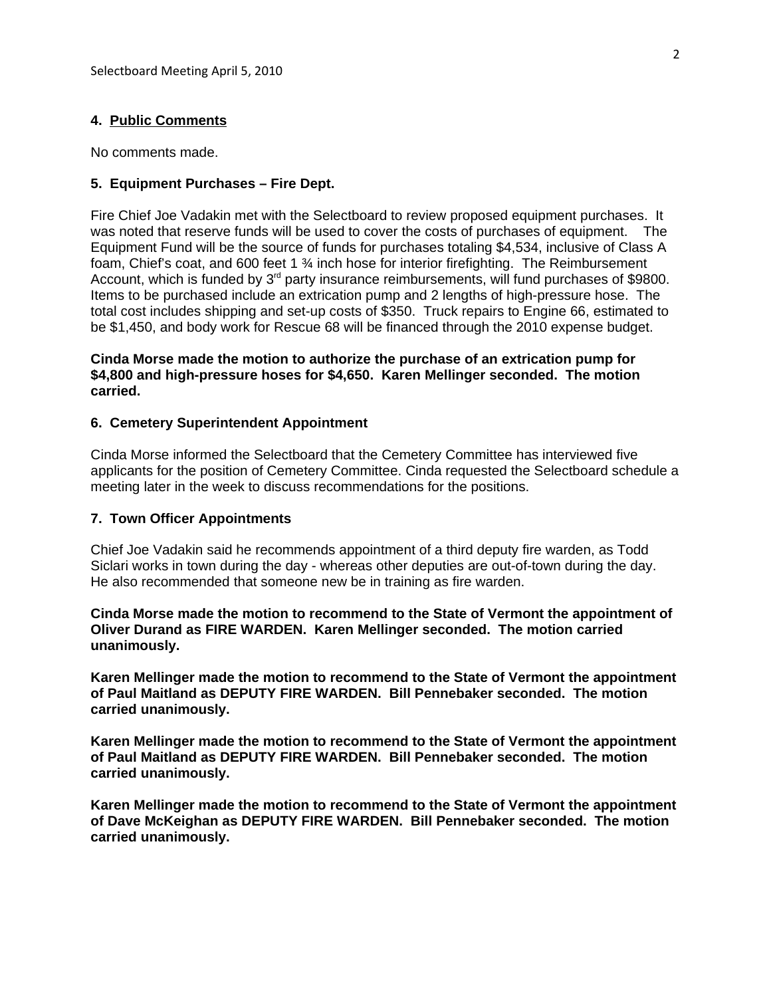### **4. Public Comments**

No comments made.

### **5. Equipment Purchases – Fire Dept.**

Fire Chief Joe Vadakin met with the Selectboard to review proposed equipment purchases. It was noted that reserve funds will be used to cover the costs of purchases of equipment. The Equipment Fund will be the source of funds for purchases totaling \$4,534, inclusive of Class A foam, Chief's coat, and 600 feet 1 ¾ inch hose for interior firefighting. The Reimbursement Account, which is funded by 3<sup>rd</sup> party insurance reimbursements, will fund purchases of \$9800. Items to be purchased include an extrication pump and 2 lengths of high-pressure hose. The total cost includes shipping and set-up costs of \$350. Truck repairs to Engine 66, estimated to be \$1,450, and body work for Rescue 68 will be financed through the 2010 expense budget.

# **Cinda Morse made the motion to authorize the purchase of an extrication pump for \$4,800 and high-pressure hoses for \$4,650. Karen Mellinger seconded. The motion carried.**

### **6. Cemetery Superintendent Appointment**

Cinda Morse informed the Selectboard that the Cemetery Committee has interviewed five applicants for the position of Cemetery Committee. Cinda requested the Selectboard schedule a meeting later in the week to discuss recommendations for the positions.

### **7. Town Officer Appointments**

Chief Joe Vadakin said he recommends appointment of a third deputy fire warden, as Todd Siclari works in town during the day - whereas other deputies are out-of-town during the day. He also recommended that someone new be in training as fire warden.

**Cinda Morse made the motion to recommend to the State of Vermont the appointment of Oliver Durand as FIRE WARDEN. Karen Mellinger seconded. The motion carried unanimously.**

**Karen Mellinger made the motion to recommend to the State of Vermont the appointment of Paul Maitland as DEPUTY FIRE WARDEN. Bill Pennebaker seconded. The motion carried unanimously.**

**Karen Mellinger made the motion to recommend to the State of Vermont the appointment of Paul Maitland as DEPUTY FIRE WARDEN. Bill Pennebaker seconded. The motion carried unanimously.**

**Karen Mellinger made the motion to recommend to the State of Vermont the appointment of Dave McKeighan as DEPUTY FIRE WARDEN. Bill Pennebaker seconded. The motion carried unanimously.**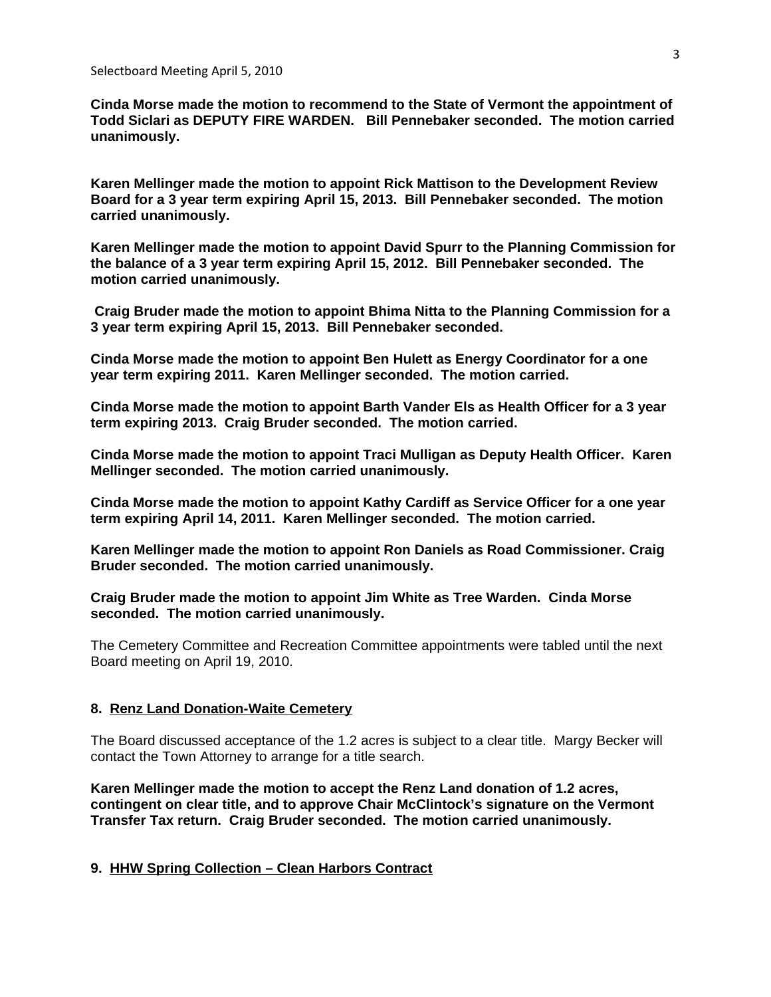**Cinda Morse made the motion to recommend to the State of Vermont the appointment of Todd Siclari as DEPUTY FIRE WARDEN. Bill Pennebaker seconded. The motion carried unanimously.**

**Karen Mellinger made the motion to appoint Rick Mattison to the Development Review Board for a 3 year term expiring April 15, 2013. Bill Pennebaker seconded. The motion carried unanimously.**

**Karen Mellinger made the motion to appoint David Spurr to the Planning Commission for the balance of a 3 year term expiring April 15, 2012. Bill Pennebaker seconded. The motion carried unanimously.**

 **Craig Bruder made the motion to appoint Bhima Nitta to the Planning Commission for a 3 year term expiring April 15, 2013. Bill Pennebaker seconded.** 

**Cinda Morse made the motion to appoint Ben Hulett as Energy Coordinator for a one year term expiring 2011. Karen Mellinger seconded. The motion carried.**

**Cinda Morse made the motion to appoint Barth Vander Els as Health Officer for a 3 year term expiring 2013. Craig Bruder seconded. The motion carried.**

**Cinda Morse made the motion to appoint Traci Mulligan as Deputy Health Officer. Karen Mellinger seconded. The motion carried unanimously.**

**Cinda Morse made the motion to appoint Kathy Cardiff as Service Officer for a one year term expiring April 14, 2011. Karen Mellinger seconded. The motion carried.**

**Karen Mellinger made the motion to appoint Ron Daniels as Road Commissioner. Craig Bruder seconded. The motion carried unanimously.**

**Craig Bruder made the motion to appoint Jim White as Tree Warden. Cinda Morse seconded. The motion carried unanimously.**

The Cemetery Committee and Recreation Committee appointments were tabled until the next Board meeting on April 19, 2010.

# **8. Renz Land Donation-Waite Cemetery**

The Board discussed acceptance of the 1.2 acres is subject to a clear title. Margy Becker will contact the Town Attorney to arrange for a title search.

**Karen Mellinger made the motion to accept the Renz Land donation of 1.2 acres, contingent on clear title, and to approve Chair McClintock's signature on the Vermont Transfer Tax return. Craig Bruder seconded. The motion carried unanimously.**

# **9. HHW Spring Collection – Clean Harbors Contract**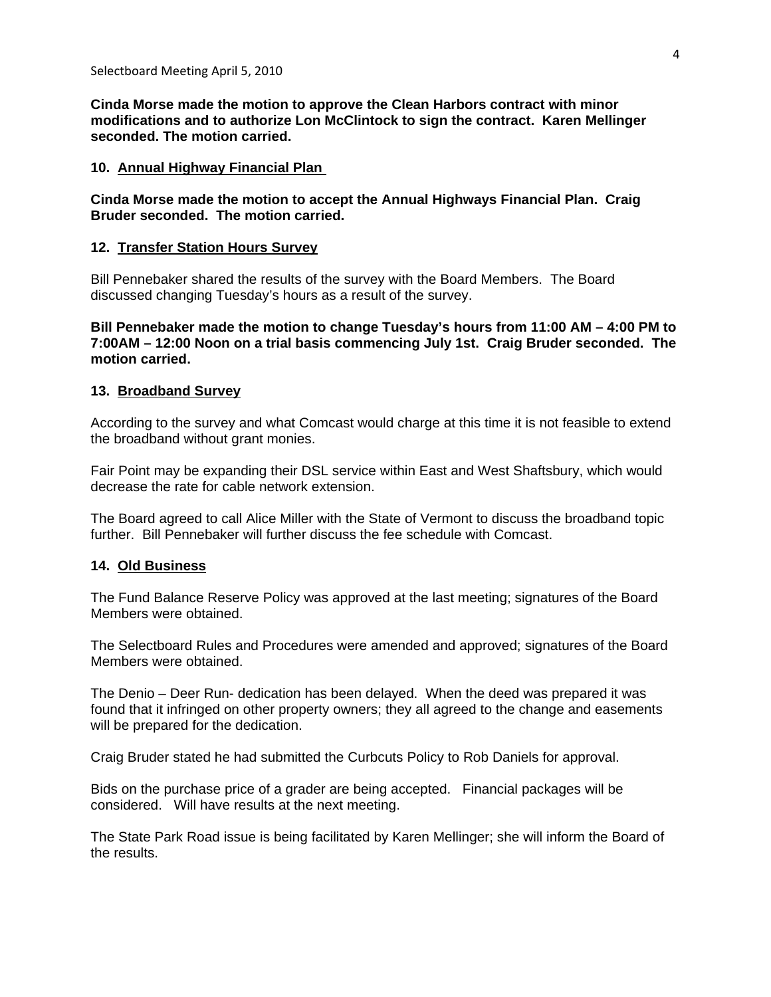**Cinda Morse made the motion to approve the Clean Harbors contract with minor modifications and to authorize Lon McClintock to sign the contract. Karen Mellinger seconded. The motion carried.**

### **10. Annual Highway Financial Plan**

**Cinda Morse made the motion to accept the Annual Highways Financial Plan. Craig Bruder seconded. The motion carried.**

### **12. Transfer Station Hours Survey**

Bill Pennebaker shared the results of the survey with the Board Members. The Board discussed changing Tuesday's hours as a result of the survey.

**Bill Pennebaker made the motion to change Tuesday's hours from 11:00 AM – 4:00 PM to 7:00AM – 12:00 Noon on a trial basis commencing July 1st. Craig Bruder seconded. The motion carried.**

# **13. Broadband Survey**

According to the survey and what Comcast would charge at this time it is not feasible to extend the broadband without grant monies.

Fair Point may be expanding their DSL service within East and West Shaftsbury, which would decrease the rate for cable network extension.

The Board agreed to call Alice Miller with the State of Vermont to discuss the broadband topic further. Bill Pennebaker will further discuss the fee schedule with Comcast.

### **14. Old Business**

The Fund Balance Reserve Policy was approved at the last meeting; signatures of the Board Members were obtained.

The Selectboard Rules and Procedures were amended and approved; signatures of the Board Members were obtained.

The Denio – Deer Run- dedication has been delayed. When the deed was prepared it was found that it infringed on other property owners; they all agreed to the change and easements will be prepared for the dedication.

Craig Bruder stated he had submitted the Curbcuts Policy to Rob Daniels for approval.

Bids on the purchase price of a grader are being accepted. Financial packages will be considered. Will have results at the next meeting.

The State Park Road issue is being facilitated by Karen Mellinger; she will inform the Board of the results.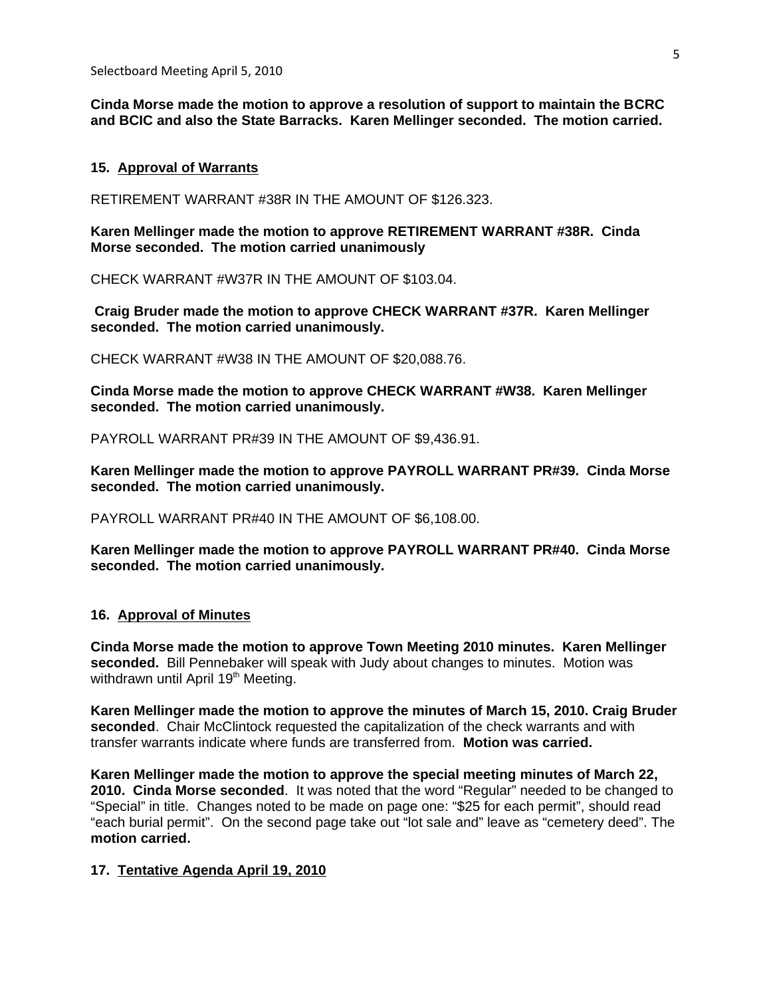**Cinda Morse made the motion to approve a resolution of support to maintain the BCRC and BCIC and also the State Barracks. Karen Mellinger seconded. The motion carried.**

### **15. Approval of Warrants**

RETIREMENT WARRANT #38R IN THE AMOUNT OF \$126.323.

**Karen Mellinger made the motion to approve RETIREMENT WARRANT #38R. Cinda Morse seconded. The motion carried unanimously**

CHECK WARRANT #W37R IN THE AMOUNT OF \$103.04.

 **Craig Bruder made the motion to approve CHECK WARRANT #37R. Karen Mellinger seconded. The motion carried unanimously.**

CHECK WARRANT #W38 IN THE AMOUNT OF \$20,088.76.

**Cinda Morse made the motion to approve CHECK WARRANT #W38. Karen Mellinger seconded. The motion carried unanimously.**

PAYROLL WARRANT PR#39 IN THE AMOUNT OF \$9,436.91.

**Karen Mellinger made the motion to approve PAYROLL WARRANT PR#39. Cinda Morse seconded. The motion carried unanimously.**

PAYROLL WARRANT PR#40 IN THE AMOUNT OF \$6,108.00.

**Karen Mellinger made the motion to approve PAYROLL WARRANT PR#40. Cinda Morse seconded. The motion carried unanimously.**

### **16. Approval of Minutes**

**Cinda Morse made the motion to approve Town Meeting 2010 minutes. Karen Mellinger seconded.** Bill Pennebaker will speak with Judy about changes to minutes. Motion was withdrawn until April 19<sup>th</sup> Meeting.

**Karen Mellinger made the motion to approve the minutes of March 15, 2010. Craig Bruder seconded**. Chair McClintock requested the capitalization of the check warrants and with transfer warrants indicate where funds are transferred from. **Motion was carried.**

**Karen Mellinger made the motion to approve the special meeting minutes of March 22, 2010. Cinda Morse seconded**. It was noted that the word "Regular" needed to be changed to "Special" in title.Changes noted to be made on page one: "\$25 for each permit", should read "each burial permit". On the second page take out "lot sale and" leave as "cemetery deed". The **motion carried.**

### **17. Tentative Agenda April 19, 2010**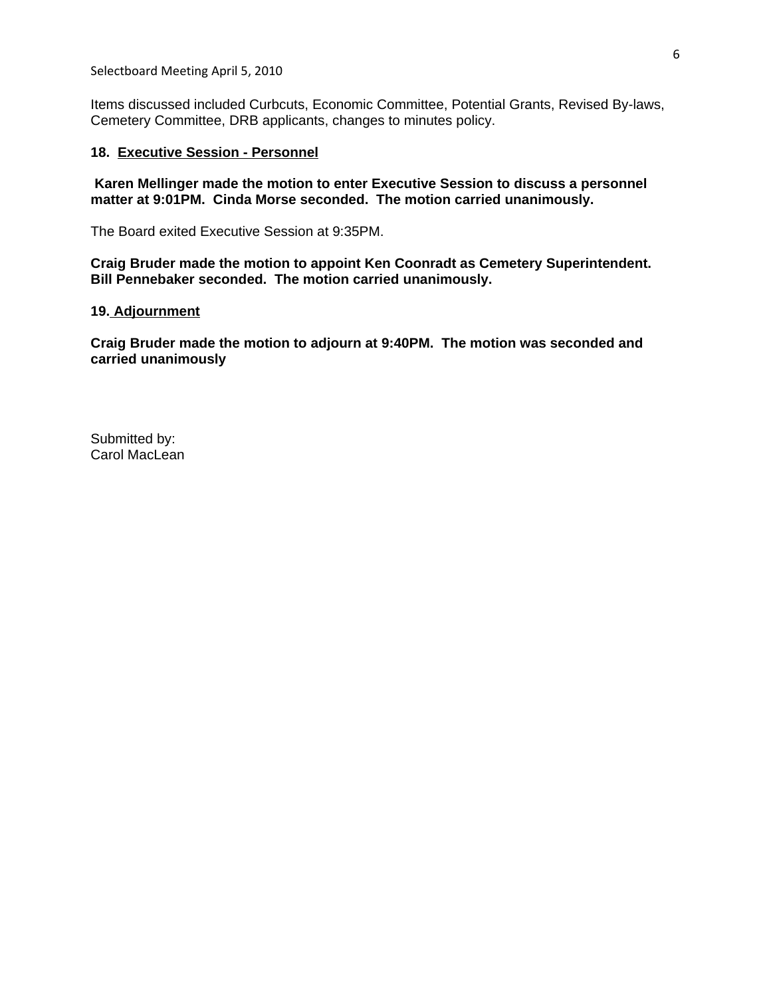Selectboard Meeting April 5, 2010

Items discussed included Curbcuts, Economic Committee, Potential Grants, Revised By-laws, Cemetery Committee, DRB applicants, changes to minutes policy.

# **18. Executive Session - Personnel**

 **Karen Mellinger made the motion to enter Executive Session to discuss a personnel matter at 9:01PM. Cinda Morse seconded. The motion carried unanimously.**

The Board exited Executive Session at 9:35PM.

**Craig Bruder made the motion to appoint Ken Coonradt as Cemetery Superintendent. Bill Pennebaker seconded. The motion carried unanimously.**

### **19. Adjournment**

**Craig Bruder made the motion to adjourn at 9:40PM. The motion was seconded and carried unanimously**

Submitted by: Carol MacLean